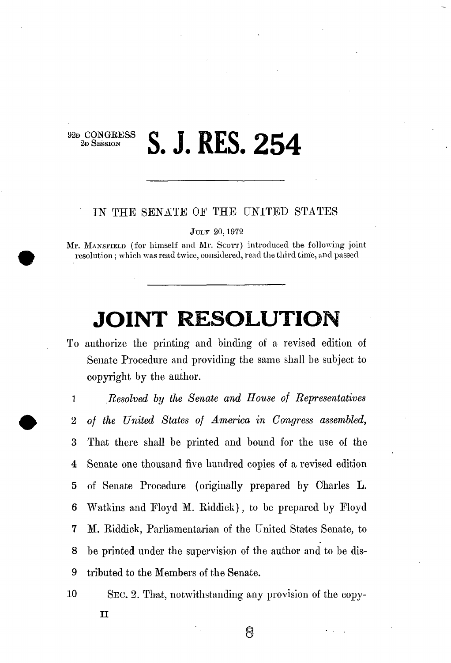## **2**<sub>2</sub>, Session</sub> **S. J. RES. 254**

## IN THE SENATE OF THE UNITED STATES

**JULY 20,1972** 

Mr. **MANSFIELD** (for himself and Mr. **SCOTT**) introduced the following joint resolution; which was read twice, considered, read the third time, and passed

## **JOINT RESOLUTION**

To authorize the printing and binding of a revised edition of Senate Procedure and providing the same shall be subject to copyright by the author.

1 *Resolved by the Senate and House of Representatives*  2 *of the United States of America in Congress assembled,*  3 That there shall be printed and bound for the use of the 4 Senate one thousand five hundred copies of a revised edition 5 of Senate Procedure (originally prepared by Charles **L.**  6 Watkins and Eloyd M. Riddick), to be prepared by Eloyd **7** M. Riddick, Parliamentarian of the United States Senate, to 8 be printed under the supervision of the author and to be dis-9 tributed to the Members of the Senate.

10 SEC. 2. That, notwithstanding any provision of the copy-

8

**n**